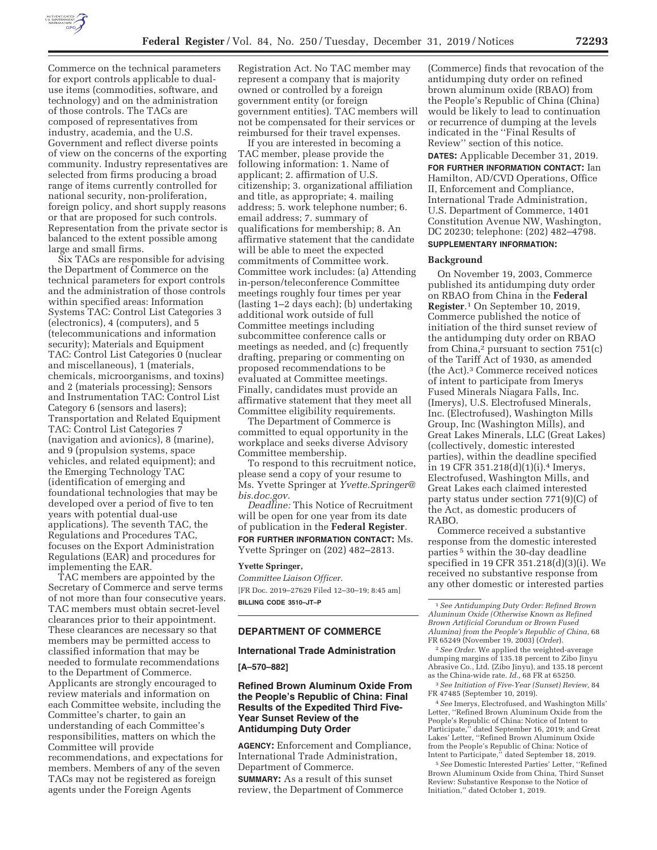

Commerce on the technical parameters for export controls applicable to dualuse items (commodities, software, and technology) and on the administration of those controls. The TACs are composed of representatives from industry, academia, and the U.S. Government and reflect diverse points of view on the concerns of the exporting community. Industry representatives are selected from firms producing a broad range of items currently controlled for national security, non-proliferation, foreign policy, and short supply reasons or that are proposed for such controls. Representation from the private sector is balanced to the extent possible among large and small firms.

Six TACs are responsible for advising the Department of Commerce on the technical parameters for export controls and the administration of those controls within specified areas: Information Systems TAC: Control List Categories 3 (electronics), 4 (computers), and 5 (telecommunications and information security); Materials and Equipment TAC: Control List Categories 0 (nuclear and miscellaneous), 1 (materials, chemicals, microorganisms, and toxins) and 2 (materials processing); Sensors and Instrumentation TAC: Control List Category 6 (sensors and lasers); Transportation and Related Equipment TAC: Control List Categories 7 (navigation and avionics), 8 (marine), and 9 (propulsion systems, space vehicles, and related equipment); and the Emerging Technology TAC (identification of emerging and foundational technologies that may be developed over a period of five to ten years with potential dual-use applications). The seventh TAC, the Regulations and Procedures TAC, focuses on the Export Administration Regulations (EAR) and procedures for implementing the EAR.

TAC members are appointed by the Secretary of Commerce and serve terms of not more than four consecutive years. TAC members must obtain secret-level clearances prior to their appointment. These clearances are necessary so that members may be permitted access to classified information that may be needed to formulate recommendations to the Department of Commerce. Applicants are strongly encouraged to review materials and information on each Committee website, including the Committee's charter, to gain an understanding of each Committee's responsibilities, matters on which the Committee will provide recommendations, and expectations for members. Members of any of the seven TACs may not be registered as foreign agents under the Foreign Agents

Registration Act. No TAC member may represent a company that is majority owned or controlled by a foreign government entity (or foreign government entities). TAC members will not be compensated for their services or reimbursed for their travel expenses.

If you are interested in becoming a TAC member, please provide the following information: 1. Name of applicant; 2. affirmation of U.S. citizenship; 3. organizational affiliation and title, as appropriate; 4. mailing address; 5. work telephone number; 6. email address; 7. summary of qualifications for membership; 8. An affirmative statement that the candidate will be able to meet the expected commitments of Committee work. Committee work includes: (a) Attending in-person/teleconference Committee meetings roughly four times per year (lasting 1–2 days each); (b) undertaking additional work outside of full Committee meetings including subcommittee conference calls or meetings as needed, and (c) frequently drafting, preparing or commenting on proposed recommendations to be evaluated at Committee meetings. Finally, candidates must provide an affirmative statement that they meet all Committee eligibility requirements.

The Department of Commerce is committed to equal opportunity in the workplace and seeks diverse Advisory Committee membership.

To respond to this recruitment notice, please send a copy of your resume to Ms. Yvette Springer at *Yvette.Springer@ bis.doc.gov.* 

*Deadline:* This Notice of Recruitment will be open for one year from its date of publication in the **Federal Register**. **FOR FURTHER INFORMATION CONTACT:** Ms. Yvette Springer on (202) 482–2813.

#### **Yvette Springer,**

*Committee Liaison Officer.*  [FR Doc. 2019–27629 Filed 12–30–19; 8:45 am] **BILLING CODE 3510–JT–P** 

## **DEPARTMENT OF COMMERCE**

#### **International Trade Administration**

**[A–570–882]** 

## **Refined Brown Aluminum Oxide From the People's Republic of China: Final Results of the Expedited Third Five-Year Sunset Review of the Antidumping Duty Order**

**AGENCY:** Enforcement and Compliance, International Trade Administration, Department of Commerce.

**SUMMARY:** As a result of this sunset review, the Department of Commerce

(Commerce) finds that revocation of the antidumping duty order on refined brown aluminum oxide (RBAO) from the People's Republic of China (China) would be likely to lead to continuation or recurrence of dumping at the levels indicated in the ''Final Results of Review'' section of this notice.

**DATES:** Applicable December 31, 2019.

**FOR FURTHER INFORMATION CONTACT:** Ian Hamilton, AD/CVD Operations, Office II, Enforcement and Compliance, International Trade Administration, U.S. Department of Commerce, 1401 Constitution Avenue NW, Washington, DC 20230; telephone: (202) 482–4798. **SUPPLEMENTARY INFORMATION:** 

### **Background**

On November 19, 2003, Commerce published its antidumping duty order on RBAO from China in the **Federal Register**.1 On September 10, 2019, Commerce published the notice of initiation of the third sunset review of the antidumping duty order on RBAO from China, $^2$  pursuant to section 751(c) of the Tariff Act of 1930, as amended (the Act).3 Commerce received notices of intent to participate from Imerys Fused Minerals Niagara Falls, Inc. (Imerys), U.S. Electrofused Minerals, Inc. (Electrofused), Washington Mills Group, Inc (Washington Mills), and Great Lakes Minerals, LLC (Great Lakes) (collectively, domestic interested parties), within the deadline specified in 19 CFR 351.218(d)(1)(i).4 Imerys, Electrofused, Washington Mills, and Great Lakes each claimed interested party status under section 771(9)(C) of the Act, as domestic producers of RABO.

Commerce received a substantive response from the domestic interested parties 5 within the 30-day deadline specified in 19 CFR 351.218(d)(3)(i). We received no substantive response from any other domestic or interested parties

2*See Order.* We applied the weighted-average dumping margins of 135.18 percent to Zibo Jinyu Abrasive Co., Ltd. (Zibo Jinyu), and 135.18 percent as the China-wide rate. *Id.,* 68 FR at 65250.

3*See Initiation of Five-Year (Sunset) Review,* 84 FR 47485 (September 10, 2019).

4*See* Imerys, Electrofused, and Washington Mills' Letter, ''Refined Brown Aluminum Oxide from the People's Republic of China: Notice of Intent to Participate,'' dated September 16, 2019; and Great Lakes' Letter, ''Refined Brown Aluminum Oxide from the People's Republic of China: Notice of Intent to Participate,'' dated September 18, 2019.

5*See* Domestic Interested Parties' Letter, ''Refined Brown Aluminum Oxide from China, Third Sunset Review: Substantive Response to the Notice of Initiation,'' dated October 1, 2019.

<sup>1</sup>*See Antidumping Duty Order: Refined Brown Aluminum Oxide (Otherwise Known as Refined Brown Artificial Corundum or Brown Fused Alumina) from the People's Republic of China,* 68 FR 65249 (November 19, 2003) (*Order*).